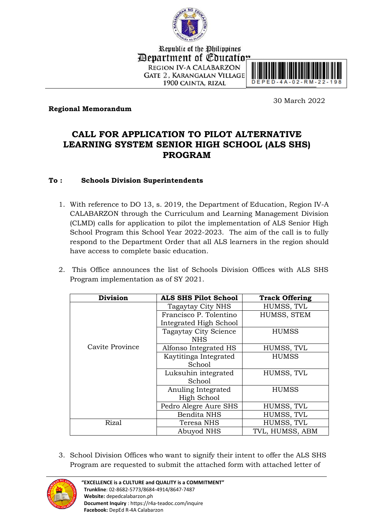

Republic of the Philippines *Department of Coucation* **REGION IV-A CALABARZON GATE 2. KARANGALAN VILLAGE** 1900 CAINTA, RIZAL



**Regional Memorandum**

30 March 2022

## **CALL FOR APPLICATION TO PILOT ALTERNATIVE LEARNING SYSTEM SENIOR HIGH SCHOOL (ALS SHS) PROGRAM**

#### **To : Schools Division Superintendents**

- 1. With reference to DO 13, s. 2019, the Department of Education, Region IV-A CALABARZON through the Curriculum and Learning Management Division (CLMD) calls for application to pilot the implementation of ALS Senior High School Program this School Year 2022-2023. The aim of the call is to fully respond to the Department Order that all ALS learners in the region should have access to complete basic education.
- 2. This Office announces the list of Schools Division Offices with ALS SHS Program implementation as of SY 2021.

| <b>Division</b> | ALS SHS Pilot School<br><b>Track Offering</b> |                 |  |
|-----------------|-----------------------------------------------|-----------------|--|
|                 | Tagaytay City NHS                             | HUMSS, TVL      |  |
|                 | Francisco P. Tolentino                        | HUMSS, STEM     |  |
|                 | Integrated High School                        |                 |  |
|                 | <b>Tagaytay City Science</b>                  | HUMSS           |  |
|                 | <b>NHS</b>                                    |                 |  |
| Cavite Province | Alfonso Integrated HS                         | HUMSS, TVL      |  |
|                 | Kaytitinga Integrated                         | <b>HUMSS</b>    |  |
|                 | School                                        |                 |  |
|                 | Luksuhin integrated                           | HUMSS, TVL      |  |
|                 | School                                        |                 |  |
|                 | Anuling Integrated                            | <b>HUMSS</b>    |  |
|                 | High School                                   |                 |  |
|                 | Pedro Alegre Aure SHS                         | HUMSS, TVL      |  |
|                 | <b>Bendita NHS</b>                            | HUMSS, TVL      |  |
| <b>Rizal</b>    | Teresa NHS                                    | HUMSS, TVL      |  |
|                 | Abuyod NHS                                    | TVL, HUMSS, ABM |  |

3. School Division Offices who want to signify their intent to offer the ALS SHS Program are requested to submit the attached form with attached letter of

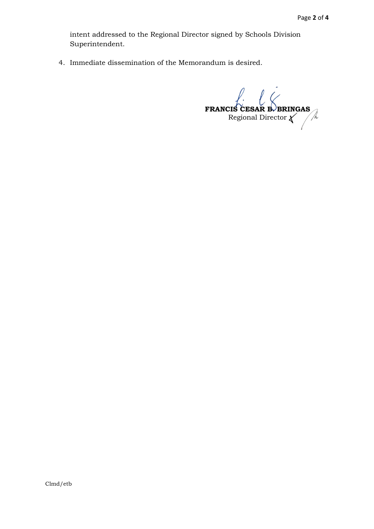intent addressed to the Regional Director signed by Schools Division Superintendent.

4. Immediate dissemination of the Memorandum is desired.

**FRANCIS CESAR B. BRINGAS** Regional Director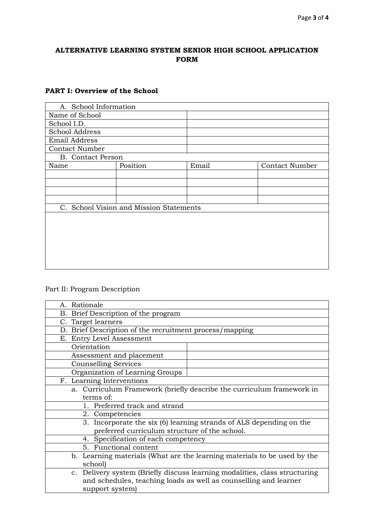#### **ALTERNATIVE LEARNING SYSTEM SENIOR HIGH SCHOOL APPLICATION FORM**

# **PART I: Overview of the School**

| A. School Information                   |          |       |                       |  |
|-----------------------------------------|----------|-------|-----------------------|--|
| Name of School                          |          |       |                       |  |
| School I.D.                             |          |       |                       |  |
| School Address                          |          |       |                       |  |
| Email Address                           |          |       |                       |  |
| <b>Contact Number</b>                   |          |       |                       |  |
| <b>B.</b> Contact Person                |          |       |                       |  |
| Name                                    | Position | Email | <b>Contact Number</b> |  |
|                                         |          |       |                       |  |
|                                         |          |       |                       |  |
|                                         |          |       |                       |  |
|                                         |          |       |                       |  |
| C. School Vision and Mission Statements |          |       |                       |  |
|                                         |          |       |                       |  |
|                                         |          |       |                       |  |
|                                         |          |       |                       |  |
|                                         |          |       |                       |  |
|                                         |          |       |                       |  |
|                                         |          |       |                       |  |
|                                         |          |       |                       |  |

### Part II: Program Description

| A. Rationale                                                               |  |  |  |
|----------------------------------------------------------------------------|--|--|--|
| B. Brief Description of the program                                        |  |  |  |
| C. Target learners                                                         |  |  |  |
| D. Brief Description of the recruitment process/mapping                    |  |  |  |
| E. Entry Level Assessment                                                  |  |  |  |
| Orientation                                                                |  |  |  |
| Assessment and placement                                                   |  |  |  |
| <b>Counselling Services</b>                                                |  |  |  |
| Organization of Learning Groups                                            |  |  |  |
| F. Learning Interventions                                                  |  |  |  |
| a. Curriculum Framework (briefly describe the curriculum framework in      |  |  |  |
| terms of:                                                                  |  |  |  |
| Preferred track and strand                                                 |  |  |  |
| 2. Competencies                                                            |  |  |  |
| 3. Incorporate the six (6) learning strands of ALS depending on the        |  |  |  |
| preferred curriculum structure of the school.                              |  |  |  |
| 4. Specification of each competency                                        |  |  |  |
| 5. Functional content                                                      |  |  |  |
| b. Learning materials (What are the learning materials to be used by the   |  |  |  |
| school                                                                     |  |  |  |
| c. Delivery system (Briefly discuss learning modalities, class structuring |  |  |  |
| and schedules, teaching loads as well as counselling and learner           |  |  |  |
| support system)                                                            |  |  |  |